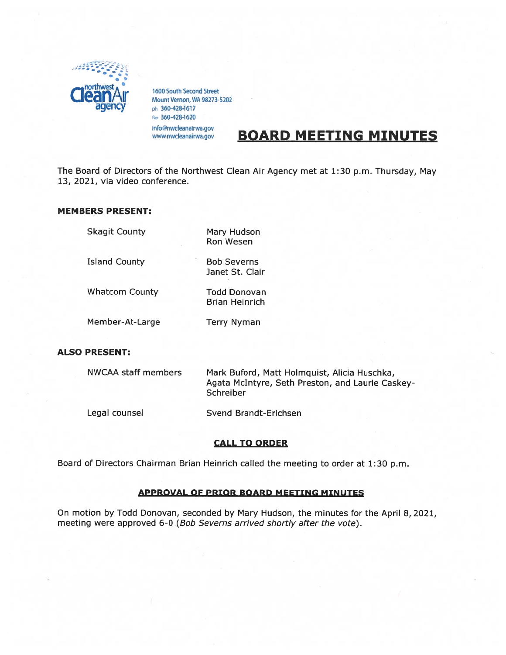

1600 South Second Street<br>Mount Vernon, WA 98273-5202 ph 360-428-1617 fax 360-428-1620 info@nwcleanairwa.gov

www.nwcleanairwa.gov

# BOARD MEETING MINUTES

The Board of Directors of the Northwest Clean Air Agency met at 1:30 p.m. Thursday, May 13, 2021, via video conference.

# MEMBERS PRESENT:

| <b>Skagit County</b>       | Mary Hudson<br><b>Ron Wesen</b>              |
|----------------------------|----------------------------------------------|
| ÷.<br><b>Island County</b> | <b>Bob Severns</b><br>Janet St. Clair        |
| <b>Whatcom County</b>      | <b>Todd Donovan</b><br><b>Brian Heinrich</b> |
| Member-At-Large            | <b>Terry Nyman</b>                           |

# ALSO PRESENT:

| NWCAA staff members | Mark Buford, Matt Holmquist, Alicia Huschka,<br>Agata McIntyre, Seth Preston, and Laurie Caskey-<br>Schreiber |
|---------------------|---------------------------------------------------------------------------------------------------------------|
| Legal counsel       | Svend Brandt-Erichsen                                                                                         |

# CALL TO ORDER

Board of Directors Chairman Brian Heinrich called the meeting to order at 1:30 p.m.

# APPROVAL OF PRIOR BOARD MEETING MINUTES

On motion by Todd Donovan, seconded by Mary Hudson, the minutes for the April 8, 2021, meeting were approved 6-0 (Bob Severns arrived shortly after the vote).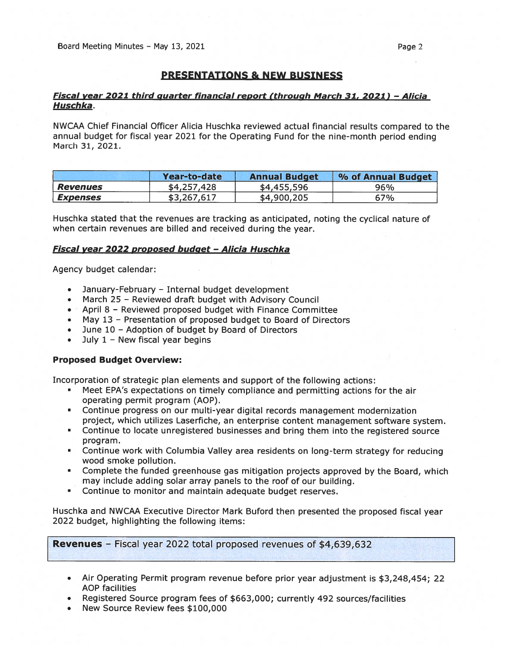# PRESENTATIONS & NEW BUSINESS

# Fiscal year 2021 third quarter financial report (through March 31, 2021) - Alicia Huschka.

NWCAA Chief Financial Officer Alicia Huschka reviewed actual financial results compared to the annual budget for fiscal year 2021 for the Operating Fund for the nine-month period ending March 31, 2021.

|                        | Year-to-date | <b>Annual Budget</b> | % of Annual Budget |
|------------------------|--------------|----------------------|--------------------|
| <b>Revenues</b>        | \$4,257,428  | \$4,455,596          | 96%                |
| <i><b>Expenses</b></i> | \$3,267,617  | \$4,900,205          | 67%                |

Huschka stated that the revenues are tracking as anticipated, noting the cyclical nature of when certain revenues are billed and received during the year.

### Fiscal year 2022 proposed budget - Alicia Huschka

Agency budget calendar:

- January-February Internal budget development
- March 25 Reviewed draft budget with Advisory Council
- April 8 Reviewed proposed budget with Finance Committee
- May 13 Presentation of proposed budget to Board of Directors
- June 10 Adoption of budget by Board of Directors
- July 1 New fiscal year begins

### Proposed Budget Overview:

Incorporation of strategic plan elements and suppor<sup>t</sup> of the following actions:

- • Meet EPA's expectations on timely compliance and permitting actions for the air operating permit program (AOP).
- • Continue progress on our multi-year digital records managemen<sup>t</sup> modernization project, which utilizes Laserfiche, an enterprise content managemen<sup>t</sup> software system.
- Continue to locate unregistered businesses and bring them into the registered source program.
- Continue work with Columbia Valley area residents on long-term strategy for reducing wood smoke pollution.
- • Complete the funded greenhouse gas mitigation projects approved by the Board, which may include adding solar array panels to the roof of our building.
- •Continue to monitor and maintain adequate budget reserves.

Huschka and NWCAA Executive Director Mark Buford then presented the proposed fiscal year 2022 budget, highlighting the following items:

Revenues - Fiscal year 2022 total proposed revenues of \$4,639,632

- Air Operating Permit program revenue before prior year adjustment is \$3,248,454; <sup>22</sup> AOP facilities
- •Registered Source program fees of \$663,000; currently 492 sources/facilities
- •New Source Review fees \$100,000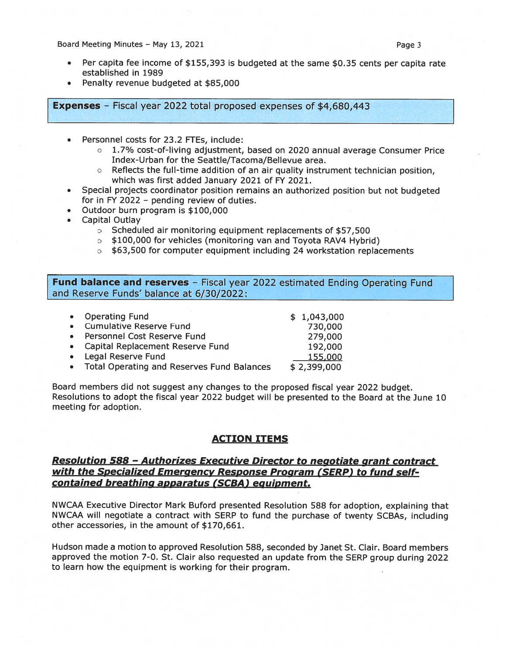Board Meeting Minutes – May 13, 2021 **Page 3** and Meeting Minutes – May 13, 2021

- • Per capita fee income of \$155,393 is budgeted at the same \$0.35 cents per capita rate established in 1989
- •Penalty revenue budgeted at \$85,000

Expenses — Fiscal year <sup>2022</sup> total propose<sup>d</sup> expenses of \$4,680,443

- . Personnel costs for 23.2 FTE5, include:
	- <sup>o</sup> 1.7% cost-of-living adjustment, based on 2020 annual average Consumer Price Index-Urban for the Seattle/Tacoma/Bellevue area.
	- <sup>o</sup> Reflects the full-time addition of an air quality instrument technician position, which was first added January 2021 of FY 2021.
- • Special projects coordinator position remains an authorized position but not budgeted for in FY 2022 — pending review of duties.
- •Outdoor burn program is \$100,000
- • Capital Outlay
	- <sup>o</sup> Scheduled air monitoring equipment replacements of \$57,500
	- <sup>o</sup> \$100,000 for vehicles (monitoring van and Toyota RAV4 Hybrid)
	- $\circ$  \$63,500 for computer equipment including 24 workstation replacements

Fund balance and reserves - Fiscal year 2022 estimated Ending Operating Fund and Reserve Funds' balance at 6/30/2022:

| • Operating Fund                             | \$1,043,000 |
|----------------------------------------------|-------------|
| • Cumulative Reserve Fund                    | 730,000     |
| • Personnel Cost Reserve Fund                | 279,000     |
| • Capital Replacement Reserve Fund           | 192,000     |
| • Legal Reserve Fund                         | 155,000     |
| • Total Operating and Reserves Fund Balances | \$2,399,000 |

Board members did not sugges<sup>t</sup> any changes to the propose<sup>d</sup> fiscal year <sup>2022</sup> budget. Resolutions to adopt the fiscal year 2022 budget will be presented to the Board at the June 10 meeting for adoption.

# ACTION ITEMS

# Resolution 588 - Authorizes Executive Director to negotiate grant contract with the Specialized Emergency Response Program (SERP) to fund selfcontained breathing apparatus (SCBA) equipment.

NWCAA Executive Director Mark Buford presented Resolution <sup>588</sup> for adoption, explaining that NWCAA will negotiate <sup>a</sup> contract with SERP to fund the purchase of twenty SCBAs, including other accessories, in the amount of \$170,661.

Hudson made <sup>a</sup> motion to approved Resolution 588, seconded by Janet St. Clair. Board members approve<sup>d</sup> the motion 7-0. St. Clair also requested an update from the SERP group during <sup>2022</sup> to learn how the equipment is working for their program.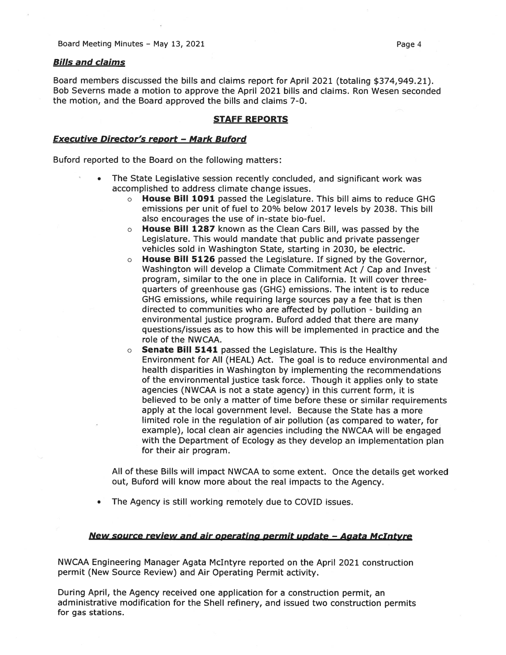### Bills and claims

Board members discussed the bills and claims repor<sup>t</sup> for April 2021 (totaling \$374,949.21). Bob Severns made <sup>a</sup> motion to approve the April 2021 bills and claims. Ron Wesen seconded the motion, and the Board approved the bills and claims 7-0.

### STAFF REPORTS

### Executive Director's repor<sup>t</sup> — Mark Buford

Buford reported to the Board on the following matters:

- • The State Legislative session recently concluded, and significant work was accomplished to address climate change issues.
	- $\circ$  House Bill 1091 passed the Legislature. This bill aims to reduce GHG emissions per unit of fuel to 20% below 2017 levels by 2038. This bill also encourages the use of in-state bio-fuel.
	- $\circ$  House Bill 1287 known as the Clean Cars Bill, was passed by the Legislature. This would mandate that public and private passenger vehicles sold in Washington State, starting in 2030, be electric.
	- <sup>o</sup> House Bill 5126 passed the Legislature. If signed by the Governor, Washington will develop <sup>a</sup> Climate Commitment Act / Cap and Invest program, similar to the one in place in California. It will cover threequarters of greenhouse gas (GHG) emissions. The intent is to reduce GHG emissions, while requiring large sources pay <sup>a</sup> fee that is then directed to communities who are affected by pollution - building an environmental justice program. Buford added that there are many questions/issues as to how this will be implemented in practice and the role of the NWCAA.
	- $\circ$  Senate Bill 5141 passed the Legislature. This is the Healthy Environment for All (HEAL) Act. The goal is to reduce environmental and health disparities in Washington by implementing the recommendations of the environmental justice task force. Though it applies only to state agencies (NWCAA is not <sup>a</sup> state agency) in this current form, it is believed to be only <sup>a</sup> matter of time before these or similar requirements apply at the local governmen<sup>t</sup> level. Because the State has <sup>a</sup> more limited role in the regulation of air pollution (as compared to water, for example), local clean air agencies including the NWCAA will be engaged with the Department of Ecology as they develop an implementation <sup>p</sup>lan for their air program.

All of these Bills will impact NWCAA to some extent. Once the details ge<sup>t</sup> worked out, Buford will know more about the real impacts to the Agency.

•The Agency is still working remotely due to COVID issues.

#### New source review and air operating permit update — Aaata McIntyre

NWCAA Engineering Manager Agata McIntyre reported on the April 2021 construction permit (New Source Review) and Air Operating Permit activity.

During April, the Agency received one application for <sup>a</sup> construction permit, an administrative modification for the Shell refinery, and issued two construction permits for gas stations.